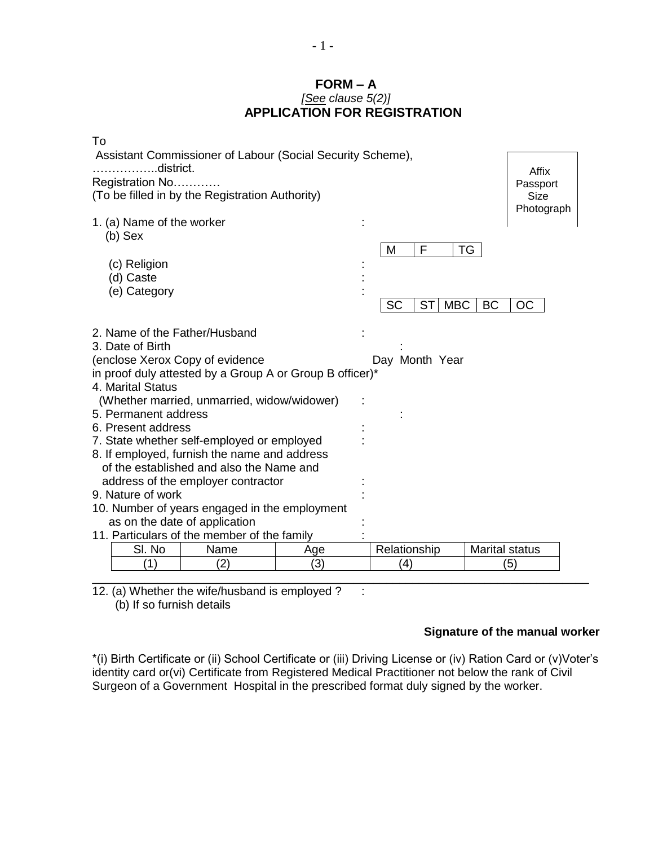### **FORM – A** *[See clause 5(2)]* **APPLICATION FOR REGISTRATION**

| To                                                                                       |              |      |              |                                                         |                       |   |                   |            |  |  |
|------------------------------------------------------------------------------------------|--------------|------|--------------|---------------------------------------------------------|-----------------------|---|-------------------|------------|--|--|
| Assistant Commissioner of Labour (Social Security Scheme),<br>$\dots$ .district.         |              |      |              |                                                         |                       |   |                   |            |  |  |
| Registration No                                                                          |              |      |              |                                                         |                       |   | Affix<br>Passport |            |  |  |
| (To be filled in by the Registration Authority)                                          |              |      |              |                                                         |                       |   |                   | Size       |  |  |
|                                                                                          |              |      |              |                                                         |                       |   |                   | Photograph |  |  |
| 1. (a) Name of the worker                                                                |              |      |              |                                                         |                       |   |                   |            |  |  |
| $(b)$ Sex                                                                                |              |      |              |                                                         | M                     | F | TG                |            |  |  |
|                                                                                          | (c) Religion |      |              |                                                         |                       |   |                   |            |  |  |
|                                                                                          | (d) Caste    |      |              |                                                         |                       |   |                   |            |  |  |
|                                                                                          | (e) Category |      |              |                                                         |                       |   |                   |            |  |  |
|                                                                                          |              |      |              | <b>SC</b><br>ST <sup>I</sup><br><b>MBC</b><br><b>BC</b> |                       |   |                   | ОC         |  |  |
| 2. Name of the Father/Husband                                                            |              |      |              |                                                         |                       |   |                   |            |  |  |
| 3. Date of Birth                                                                         |              |      |              |                                                         |                       |   |                   |            |  |  |
| (enclose Xerox Copy of evidence<br>Day Month Year                                        |              |      |              |                                                         |                       |   |                   |            |  |  |
| in proof duly attested by a Group A or Group B officer)*                                 |              |      |              |                                                         |                       |   |                   |            |  |  |
| 4. Marital Status<br>(Whether married, unmarried, widow/widower)                         |              |      |              |                                                         |                       |   |                   |            |  |  |
| 5. Permanent address                                                                     |              |      |              |                                                         |                       |   |                   |            |  |  |
| 6. Present address                                                                       |              |      |              |                                                         |                       |   |                   |            |  |  |
| 7. State whether self-employed or employed                                               |              |      |              |                                                         |                       |   |                   |            |  |  |
| 8. If employed, furnish the name and address<br>of the established and also the Name and |              |      |              |                                                         |                       |   |                   |            |  |  |
| address of the employer contractor                                                       |              |      |              |                                                         |                       |   |                   |            |  |  |
| 9. Nature of work                                                                        |              |      |              |                                                         |                       |   |                   |            |  |  |
| 10. Number of years engaged in the employment                                            |              |      |              |                                                         |                       |   |                   |            |  |  |
| as on the date of application<br>11. Particulars of the member of the family             |              |      |              |                                                         |                       |   |                   |            |  |  |
|                                                                                          | SI. No       | Name | Relationship |                                                         | <b>Marital status</b> |   |                   |            |  |  |
|                                                                                          | ั1)          | (2)  | Age<br>(3)   |                                                         | (4)                   |   |                   | (5)        |  |  |
|                                                                                          |              |      |              |                                                         |                       |   |                   |            |  |  |

12. (a) Whether the wife/husband is employed ?  $\therefore$ (b) If so furnish details

# **Signature of the manual worker**

\*(i) Birth Certificate or (ii) School Certificate or (iii) Driving License or (iv) Ration Card or (v)Voter's identity card or(vi) Certificate from Registered Medical Practitioner not below the rank of Civil Surgeon of a Government Hospital in the prescribed format duly signed by the worker.